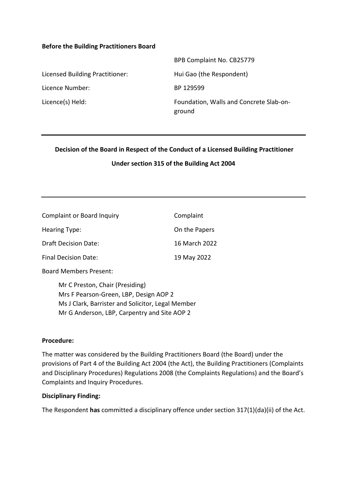#### **Before the Building Practitioners Board**

|                                 | BPB Complaint No. CB25779                         |
|---------------------------------|---------------------------------------------------|
| Licensed Building Practitioner: | Hui Gao (the Respondent)                          |
| Licence Number:                 | BP 129599                                         |
| Licence(s) Held:                | Foundation, Walls and Concrete Slab-on-<br>ground |

**Decision of the Board in Respect of the Conduct of a Licensed Building Practitioner**

#### **Under section 315 of the Building Act 2004**

| <b>Complaint or Board Inquiry</b> | Complaint     |
|-----------------------------------|---------------|
| Hearing Type:                     | On the Papers |
| <b>Draft Decision Date:</b>       | 16 March 2022 |
| Final Decision Date:              | 19 May 2022   |

Board Members Present:

Mr C Preston, Chair (Presiding) Mrs F Pearson-Green, LBP, Design AOP 2 Ms J Clark, Barrister and Solicitor, Legal Member Mr G Anderson, LBP, Carpentry and Site AOP 2

#### **Procedure:**

The matter was considered by the Building Practitioners Board (the Board) under the provisions of Part 4 of the Building Act 2004 (the Act), the Building Practitioners (Complaints and Disciplinary Procedures) Regulations 2008 (the Complaints Regulations) and the Board's Complaints and Inquiry Procedures.

#### **Disciplinary Finding:**

The Respondent **has** committed a disciplinary offence under section 317(1)(da)(ii) of the Act.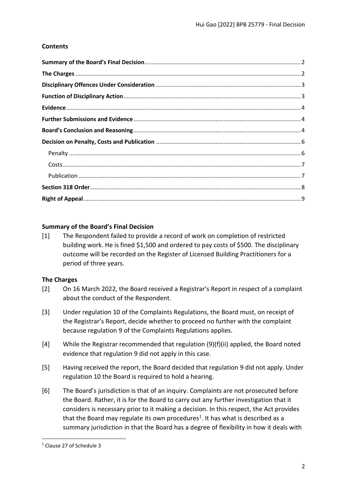# **Contents**

# <span id="page-1-0"></span>**Summary of the Board's Final Decision**

[1] The Respondent failed to provide a record of work on completion of restricted building work. He is fined \$1,500 and ordered to pay costs of \$500. The disciplinary outcome will be recorded on the Register of Licensed Building Practitioners for a period of three years.

# <span id="page-1-1"></span>**The Charges**

- [2] On 16 March 2022, the Board received a Registrar's Report in respect of a complaint about the conduct of the Respondent.
- [3] Under regulation 10 of the Complaints Regulations, the Board must, on receipt of the Registrar's Report, decide whether to proceed no further with the complaint because regulation 9 of the Complaints Regulations applies.
- [4] While the Registrar recommended that regulation (9)(f)(ii) applied, the Board noted evidence that regulation 9 did not apply in this case.
- [5] Having received the report, the Board decided that regulation 9 did not apply. Under regulation 10 the Board is required to hold a hearing.
- [6] The Board's jurisdiction is that of an inquiry. Complaints are not prosecuted before the Board. Rather, it is for the Board to carry out any further investigation that it considers is necessary prior to it making a decision. In this respect, the Act provides that the Board may regulate its own procedures<sup>1</sup>. It has what is described as a summary jurisdiction in that the Board has a degree of flexibility in how it deals with

<sup>1</sup> Clause 27 of Schedule 3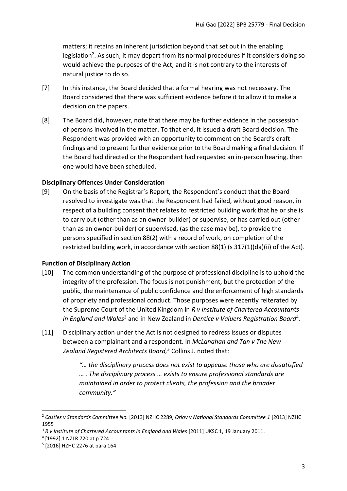matters; it retains an inherent jurisdiction beyond that set out in the enabling legislation<sup>2</sup>. As such, it may depart from its normal procedures if it considers doing so would achieve the purposes of the Act, and it is not contrary to the interests of natural justice to do so.

- [7] In this instance, the Board decided that a formal hearing was not necessary. The Board considered that there was sufficient evidence before it to allow it to make a decision on the papers.
- [8] The Board did, however, note that there may be further evidence in the possession of persons involved in the matter. To that end, it issued a draft Board decision. The Respondent was provided with an opportunity to comment on the Board's draft findings and to present further evidence prior to the Board making a final decision. If the Board had directed or the Respondent had requested an in-person hearing, then one would have been scheduled.

# <span id="page-2-0"></span>**Disciplinary Offences Under Consideration**

[9] On the basis of the Registrar's Report, the Respondent's conduct that the Board resolved to investigate was that the Respondent had failed, without good reason, in respect of a building consent that relates to restricted building work that he or she is to carry out (other than as an owner-builder) or supervise, or has carried out (other than as an owner-builder) or supervised, (as the case may be), to provide the persons specified in section 88(2) with a record of work, on completion of the restricted building work, in accordance with section 88(1) (s 317(1)(da)(ii) of the Act).

# <span id="page-2-1"></span>**Function of Disciplinary Action**

- [10] The common understanding of the purpose of professional discipline is to uphold the integrity of the profession. The focus is not punishment, but the protection of the public, the maintenance of public confidence and the enforcement of high standards of propriety and professional conduct. Those purposes were recently reiterated by the Supreme Court of the United Kingdom in *R v Institute of Chartered Accountants*  in England and Wales<sup>3</sup> and in New Zealand in Dentice v Valuers Registration Board<sup>4</sup>.
- [11] Disciplinary action under the Act is not designed to redress issues or disputes between a complainant and a respondent. In *McLanahan and Tan v The New Zealand Registered Architects Board, <sup>5</sup>* Collins J. noted that:

*"… the disciplinary process does not exist to appease those who are dissatisfied … . The disciplinary process … exists to ensure professional standards are maintained in order to protect clients, the profession and the broader community."*

<sup>2</sup> *Castles v Standards Committee No.* [2013] NZHC 2289, *Orlov v National Standards Committee 1* [2013] NZHC 1955

<sup>&</sup>lt;sup>3</sup> R v Institute of Chartered Accountants in England and Wales [2011] UKSC 1, 19 January 2011.

<sup>4</sup> [1992] 1 NZLR 720 at p 724

<sup>5</sup> [2016] HZHC 2276 at para 164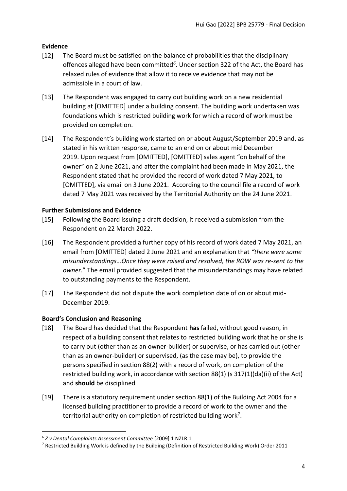# <span id="page-3-0"></span>**Evidence**

- [12] The Board must be satisfied on the balance of probabilities that the disciplinary offences alleged have been committed*<sup>6</sup>* . Under section 322 of the Act, the Board has relaxed rules of evidence that allow it to receive evidence that may not be admissible in a court of law.
- [13] The Respondent was engaged to carry out building work on a new residential building at [OMITTED] under a building consent. The building work undertaken was foundations which is restricted building work for which a record of work must be provided on completion.
- [14] The Respondent's building work started on or about August/September 2019 and, as stated in his written response, came to an end on or about mid December 2019. Upon request from [OMITTED], [OMITTED] sales agent "on behalf of the owner" on 2 June 2021, and after the complaint had been made in May 2021, the Respondent stated that he provided the record of work dated 7 May 2021, to [OMITTED], via email on 3 June 2021. According to the council file a record of work dated 7 May 2021 was received by the Territorial Authority on the 24 June 2021.

# <span id="page-3-1"></span>**Further Submissions and Evidence**

- [15] Following the Board issuing a draft decision, it received a submission from the Respondent on 22 March 2022.
- [16] The Respondent provided a further copy of his record of work dated 7 May 2021, an email from [OMITTED] dated 2 June 2021 and an explanation that *"there were some misunderstandings…Once they were raised and resolved, the ROW was re-sent to the owner*." The email provided suggested that the misunderstandings may have related to outstanding payments to the Respondent.
- [17] The Respondent did not dispute the work completion date of on or about mid-December 2019.

# <span id="page-3-2"></span>**Board's Conclusion and Reasoning**

- [18] The Board has decided that the Respondent **has** failed, without good reason, in respect of a building consent that relates to restricted building work that he or she is to carry out (other than as an owner-builder) or supervise, or has carried out (other than as an owner-builder) or supervised, (as the case may be), to provide the persons specified in section 88(2) with a record of work, on completion of the restricted building work, in accordance with section 88(1) (s 317(1)(da)(ii) of the Act) and **should** be disciplined
- [19] There is a statutory requirement under section 88(1) of the Building Act 2004 for a licensed building practitioner to provide a record of work to the owner and the territorial authority on completion of restricted building work<sup>7</sup>.

<sup>6</sup> *Z v Dental Complaints Assessment Committee* [2009] 1 NZLR 1

<sup>7</sup> Restricted Building Work is defined by the Building (Definition of Restricted Building Work) Order 2011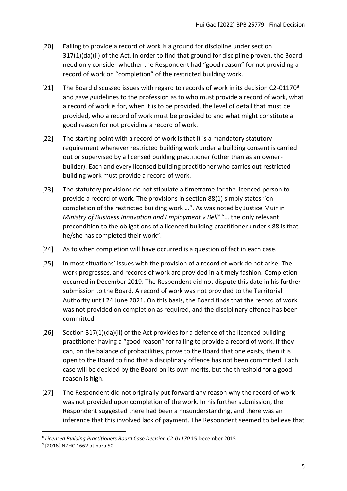- [20] Failing to provide a record of work is a ground for discipline under section 317(1)(da)(ii) of the Act. In order to find that ground for discipline proven, the Board need only consider whether the Respondent had "good reason" for not providing a record of work on "completion" of the restricted building work.
- [21] The Board discussed issues with regard to records of work in its decision C2-01170<sup>8</sup> and gave guidelines to the profession as to who must provide a record of work, what a record of work is for, when it is to be provided, the level of detail that must be provided, who a record of work must be provided to and what might constitute a good reason for not providing a record of work.
- [22] The starting point with a record of work is that it is a mandatory statutory requirement whenever restricted building work under a building consent is carried out or supervised by a licensed building practitioner (other than as an ownerbuilder). Each and every licensed building practitioner who carries out restricted building work must provide a record of work.
- [23] The statutory provisions do not stipulate a timeframe for the licenced person to provide a record of work. The provisions in section 88(1) simply states "on completion of the restricted building work …". As was noted by Justice Muir in Ministry of Business Innovation and Employment v Bell<sup>9</sup> "... the only relevant precondition to the obligations of a licenced building practitioner under s 88 is that he/she has completed their work".
- [24] As to when completion will have occurred is a question of fact in each case.
- [25] In most situations' issues with the provision of a record of work do not arise. The work progresses, and records of work are provided in a timely fashion. Completion occurred in December 2019. The Respondent did not dispute this date in his further submission to the Board. A record of work was not provided to the Territorial Authority until 24 June 2021. On this basis, the Board finds that the record of work was not provided on completion as required, and the disciplinary offence has been committed.
- [26] Section 317(1)(da)(ii) of the Act provides for a defence of the licenced building practitioner having a "good reason" for failing to provide a record of work. If they can, on the balance of probabilities, prove to the Board that one exists, then it is open to the Board to find that a disciplinary offence has not been committed. Each case will be decided by the Board on its own merits, but the threshold for a good reason is high.
- [27] The Respondent did not originally put forward any reason why the record of work was not provided upon completion of the work. In his further submission, the Respondent suggested there had been a misunderstanding, and there was an inference that this involved lack of payment. The Respondent seemed to believe that

<sup>&</sup>lt;sup>8</sup> Licensed Building Practitioners Board Case Decision C2-01170 15 December 2015

<sup>9</sup> [2018] NZHC 1662 at para 50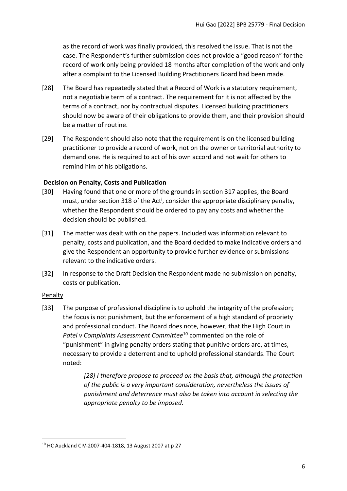as the record of work was finally provided, this resolved the issue. That is not the case. The Respondent's further submission does not provide a "good reason" for the record of work only being provided 18 months after completion of the work and only after a complaint to the Licensed Building Practitioners Board had been made.

- [28] The Board has repeatedly stated that a Record of Work is a statutory requirement, not a negotiable term of a contract. The requirement for it is not affected by the terms of a contract, nor by contractual disputes. Licensed building practitioners should now be aware of their obligations to provide them, and their provision should be a matter of routine.
- [29] The Respondent should also note that the requirement is on the licensed building practitioner to provide a record of work, not on the owner or territorial authority to demand one. He is required to act of his own accord and not wait for others to remind him of his obligations.

# <span id="page-5-0"></span>**Decision on Penalty, Costs and Publication**

- [30] Having found that one or more of the grounds in section 317 applies, the Board must, under section 318 of the Act<sup>i</sup>, consider the appropriate disciplinary penalty, whether the Respondent should be ordered to pay any costs and whether the decision should be published.
- [31] The matter was dealt with on the papers. Included was information relevant to penalty, costs and publication, and the Board decided to make indicative orders and give the Respondent an opportunity to provide further evidence or submissions relevant to the indicative orders.
- [32] In response to the Draft Decision the Respondent made no submission on penalty, costs or publication.

#### <span id="page-5-1"></span>**Penalty**

[33] The purpose of professional discipline is to uphold the integrity of the profession; the focus is not punishment, but the enforcement of a high standard of propriety and professional conduct. The Board does note, however, that the High Court in *Patel v Complaints Assessment Committee*<sup>10</sup> commented on the role of "punishment" in giving penalty orders stating that punitive orders are, at times, necessary to provide a deterrent and to uphold professional standards. The Court noted:

> *[28] I therefore propose to proceed on the basis that, although the protection of the public is a very important consideration, nevertheless the issues of punishment and deterrence must also be taken into account in selecting the appropriate penalty to be imposed.*

<sup>10</sup> HC Auckland CIV-2007-404-1818, 13 August 2007 at p 27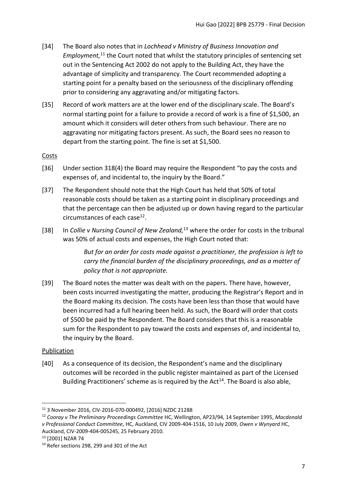- [34] The Board also notes that in *Lochhead v Ministry of Business Innovation and*  Employment,<sup>11</sup> the Court noted that whilst the statutory principles of sentencing set out in the Sentencing Act 2002 do not apply to the Building Act, they have the advantage of simplicity and transparency. The Court recommended adopting a starting point for a penalty based on the seriousness of the disciplinary offending prior to considering any aggravating and/or mitigating factors.
- [35] Record of work matters are at the lower end of the disciplinary scale. The Board's normal starting point for a failure to provide a record of work is a fine of \$1,500, an amount which it considers will deter others from such behaviour. There are no aggravating nor mitigating factors present. As such, the Board sees no reason to depart from the starting point. The fine is set at \$1,500.

### <span id="page-6-0"></span>**Costs**

- [36] Under section 318(4) the Board may require the Respondent "to pay the costs and expenses of, and incidental to, the inquiry by the Board."
- [37] The Respondent should note that the High Court has held that 50% of total reasonable costs should be taken as a starting point in disciplinary proceedings and that the percentage can then be adjusted up or down having regard to the particular circumstances of each case<sup>12</sup>.
- [38] In *Collie v Nursing Council of New Zealand*,<sup>13</sup> where the order for costs in the tribunal was 50% of actual costs and expenses, the High Court noted that:

*But for an order for costs made against a practitioner, the profession is left to carry the financial burden of the disciplinary proceedings, and as a matter of policy that is not appropriate.*

[39] The Board notes the matter was dealt with on the papers. There have, however, been costs incurred investigating the matter, producing the Registrar's Report and in the Board making its decision. The costs have been less than those that would have been incurred had a full hearing been held. As such, the Board will order that costs of \$500 be paid by the Respondent. The Board considers that this is a reasonable sum for the Respondent to pay toward the costs and expenses of, and incidental to, the inquiry by the Board.

#### <span id="page-6-1"></span>**Publication**

[40] As a consequence of its decision, the Respondent's name and the disciplinary outcomes will be recorded in the public register maintained as part of the Licensed Building Practitioners' scheme as is required by the  $Act^{14}$ . The Board is also able,

<sup>12</sup> *Cooray v The Preliminary Proceedings Committee* HC, Wellington, AP23/94, 14 September 1995, *Macdonald v Professional Conduct Committee,* HC, Auckland, CIV 2009-404-1516, 10 July 2009, *Owen v Wynyard* HC, Auckland, CIV-2009-404-005245, 25 February 2010.

<sup>11</sup> 3 November 2016, CIV-2016-070-000492, [2016] NZDC 21288

<sup>13</sup> [2001] NZAR 74

<sup>14</sup> Refer sections 298, 299 and 301 of the Act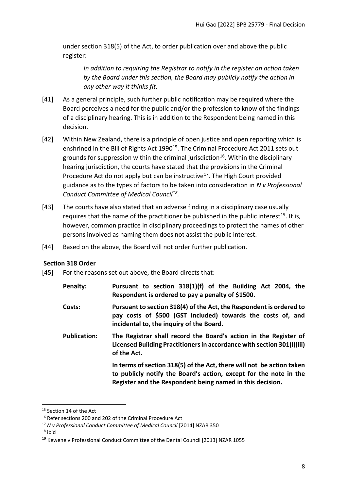under section 318(5) of the Act, to order publication over and above the public register:

*In addition to requiring the Registrar to notify in the register an action taken by the Board under this section, the Board may publicly notify the action in any other way it thinks fit.*

- [41] As a general principle, such further public notification may be required where the Board perceives a need for the public and/or the profession to know of the findings of a disciplinary hearing. This is in addition to the Respondent being named in this decision.
- [42] Within New Zealand, there is a principle of open justice and open reporting which is enshrined in the Bill of Rights Act 1990<sup>15</sup>. The Criminal Procedure Act 2011 sets out grounds for suppression within the criminal jurisdiction<sup>16</sup>. Within the disciplinary hearing jurisdiction, the courts have stated that the provisions in the Criminal Procedure Act do not apply but can be instructive<sup>17</sup>. The High Court provided guidance as to the types of factors to be taken into consideration in *N v Professional Conduct Committee of Medical Council<sup>18</sup> .*
- [43] The courts have also stated that an adverse finding in a disciplinary case usually requires that the name of the practitioner be published in the public interest<sup>19</sup>. It is, however, common practice in disciplinary proceedings to protect the names of other persons involved as naming them does not assist the public interest.
- [44] Based on the above, the Board will not order further publication.

# <span id="page-7-0"></span>**Section 318 Order**

- [45] For the reasons set out above, the Board directs that:
	- **Penalty: Pursuant to section 318(1)(f) of the Building Act 2004, the Respondent is ordered to pay a penalty of \$1500.**
	- **Costs: Pursuant to section 318(4) of the Act, the Respondent is ordered to pay costs of \$500 (GST included) towards the costs of, and incidental to, the inquiry of the Board.**
	- **Publication: The Registrar shall record the Board's action in the Register of Licensed Building Practitioners in accordance with section 301(l)(iii) of the Act.**

**In terms of section 318(5) of the Act, there will not be action taken to publicly notify the Board's action, except for the note in the Register and the Respondent being named in this decision.**

 $18$  ibid

<sup>&</sup>lt;sup>15</sup> Section 14 of the Act

<sup>&</sup>lt;sup>16</sup> Refer sections 200 and 202 of the Criminal Procedure Act

<sup>17</sup> *N v Professional Conduct Committee of Medical Council* [2014] NZAR 350

<sup>19</sup> Kewene v Professional Conduct Committee of the Dental Council [2013] NZAR 1055